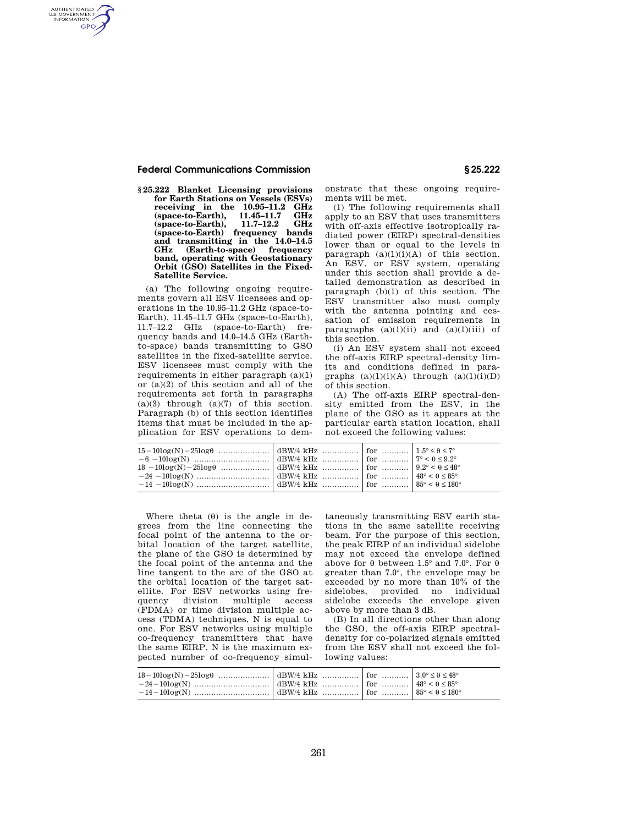### **Federal Communications Commission § 25.222**

AUTHENTICATED<br>U.S. GOVERNMENT<br>INFORMATION **GPO** 

> **§ 25.222 Blanket Licensing provisions for Earth Stations on Vessels (ESVs) receiving in the 10.95-11.2 GHz**<br> **(space-to-Earth).** 11.45-11.7 GHz **(space-to-Earth), 11.45–11.7 GHz**  (space-to-Earth), **(space-to-Earth) frequency bands and transmitting in the 14.0–14.5 GHz (Earth-to-space) frequency band, operating with Geostationary Orbit (GSO) Satellites in the Fixed-Satellite Service.**

> (a) The following ongoing requirements govern all ESV licensees and operations in the 10.95–11.2 GHz (space-to-Earth), 11.45–11.7 GHz (space-to-Earth), 11.7–12.2 GHz (space-to-Earth) frequency bands and 14.0–14.5 GHz (Earthto-space) bands transmitting to GSO satellites in the fixed-satellite service. ESV licensees must comply with the requirements in either paragraph  $(a)(1)$ or (a)(2) of this section and all of the requirements set forth in paragraphs  $(a)(3)$  through  $(a)(7)$  of this section. Paragraph (b) of this section identifies items that must be included in the application for ESV operations to dem

onstrate that these ongoing requirements will be met.

(1) The following requirements shall apply to an ESV that uses transmitters with off-axis effective isotropically radiated power (EIRP) spectral-densities lower than or equal to the levels in paragraph  $(a)(1)(i)(A)$  of this section. An ESV, or ESV system, operating under this section shall provide a detailed demonstration as described in paragraph (b)(1) of this section. The ESV transmitter also must comply with the antenna pointing and cessation of emission requirements in paragraphs  $(a)(1)(ii)$  and  $(a)(1)(iii)$  of this section.

(i) An ESV system shall not exceed the off-axis EIRP spectral-density limits and conditions defined in paragraphs  $(a)(1)(i)(A)$  through  $(a)(1)(i)(D)$ of this section.

(A) The off-axis EIRP spectral-density emitted from the ESV, in the plane of the GSO as it appears at the particular earth station location, shall not exceed the following values:

| $\begin{tabular}{c c c c} $15-10\log(N)-25\log\theta$ & $\cdots$ & $\mathrm{dBW/4\ kHz}$ & $\cdots$ & $\mathrm{for}$ & $\cdots$ & $1.5^{\circ}\leq\theta\leq7^{\circ}$ \\ $-6-10\log(N)$ & $\cdots$ & $\mathrm{dBW/4\ kHz}$ & $\mathrm{if}x$ & $\cdots$ & $\mathrm{for}$ & $\cdots$ & $\cdots$ & $1.5^{\circ}\leq\theta\leq7^{\circ}$ \\ $18-10\log(N)-25\log\theta$ & $\cdots$ & $\mathrm{dBW/4\ kHz}$ & $\cdots$ & $\mathrm{for}$ & $\cdots$ & $\cdots$ & $9.$ |  |  |
|------------------------------------------------------------------------------------------------------------------------------------------------------------------------------------------------------------------------------------------------------------------------------------------------------------------------------------------------------------------------------------------------------------------------------------------------------------------|--|--|
|                                                                                                                                                                                                                                                                                                                                                                                                                                                                  |  |  |
|                                                                                                                                                                                                                                                                                                                                                                                                                                                                  |  |  |

Where theta  $(\theta)$  is the angle in degrees from the line connecting the focal point of the antenna to the orbital location of the target satellite, the plane of the GSO is determined by the focal point of the antenna and the line tangent to the arc of the GSO at the orbital location of the target satellite. For ESV networks using frequency division multiple access (FDMA) or time division multiple access (TDMA) techniques, N is equal to one. For ESV networks using multiple co-frequency transmitters that have the same EIRP, N is the maximum expected number of co-frequency simul-

taneously transmitting ESV earth stations in the same satellite receiving beam. For the purpose of this section, the peak EIRP of an individual sidelobe may not exceed the envelope defined above for  $\theta$  between 1.5° and 7.0°. For  $\theta$ greater than 7.0°, the envelope may be exceeded by no more than 10% of the sidelobes, provided no individual sidelobe exceeds the envelope given above by more than 3 dB.

(B) In all directions other than along the GSO, the off-axis EIRP spectraldensity for co-polarized signals emitted from the ESV shall not exceed the following values: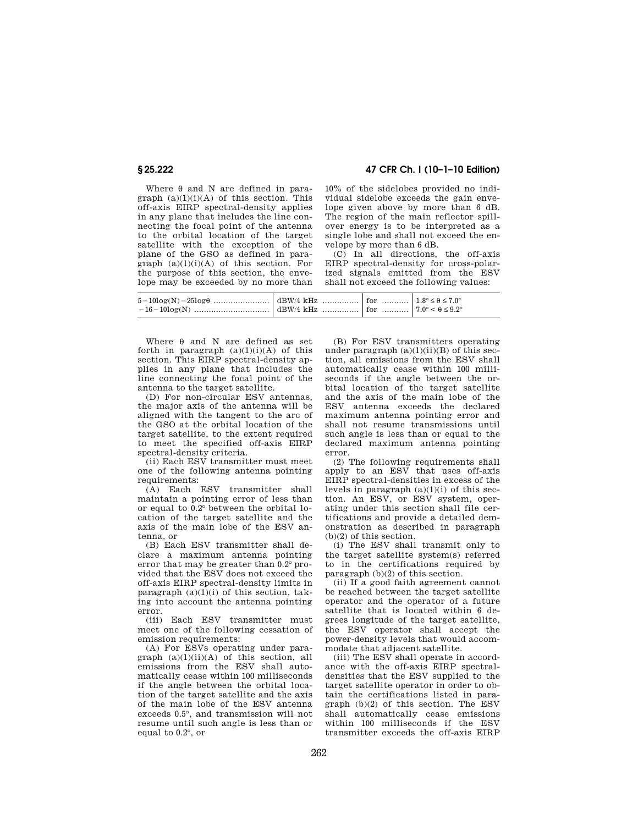# **§ 25.222 47 CFR Ch. I (10–1–10 Edition)**

Where  $\theta$  and N are defined in paragraph  $(a)(1)(i)(A)$  of this section. This off-axis EIRP spectral-density applies in any plane that includes the line connecting the focal point of the antenna to the orbital location of the target satellite with the exception of the plane of the GSO as defined in paragraph  $(a)(1)(i)(A)$  of this section. For the purpose of this section, the envelope may be exceeded by no more than

10% of the sidelobes provided no individual sidelobe exceeds the gain envelope given above by more than 6 dB. The region of the main reflector spillover energy is to be interpreted as a single lobe and shall not exceed the envelope by more than 6 dB.

(C) In all directions, the off-axis EIRP spectral-density for cross-polarized signals emitted from the ESV shall not exceed the following values:

Where  $\theta$  and N are defined as set forth in paragraph  $(a)(1)(i)(A)$  of this section. This EIRP spectral-density applies in any plane that includes the line connecting the focal point of the antenna to the target satellite.

(D) For non-circular ESV antennas, the major axis of the antenna will be aligned with the tangent to the arc of the GSO at the orbital location of the target satellite, to the extent required to meet the specified off-axis EIRP spectral-density criteria.

(ii) Each ESV transmitter must meet one of the following antenna pointing requirements:

(A) Each ESV transmitter shall maintain a pointing error of less than or equal to 0.2° between the orbital location of the target satellite and the axis of the main lobe of the ESV antenna, or

(B) Each ESV transmitter shall declare a maximum antenna pointing error that may be greater than 0.2° provided that the ESV does not exceed the off-axis EIRP spectral-density limits in paragraph  $(a)(1)(i)$  of this section, taking into account the antenna pointing error.

(iii) Each ESV transmitter must meet one of the following cessation of emission requirements:

(A) For ESVs operating under paragraph  $(a)(1)(ii)(A)$  of this section, all emissions from the ESV shall automatically cease within 100 milliseconds if the angle between the orbital location of the target satellite and the axis of the main lobe of the ESV antenna exceeds 0.5°, and transmission will not resume until such angle is less than or equal to 0.2°, or

(B) For ESV transmitters operating under paragraph  $(a)(1)(ii)(B)$  of this section, all emissions from the ESV shall automatically cease within 100 milliseconds if the angle between the orbital location of the target satellite and the axis of the main lobe of the ESV antenna exceeds the declared maximum antenna pointing error and shall not resume transmissions until such angle is less than or equal to the declared maximum antenna pointing error.

(2) The following requirements shall apply to an ESV that uses off-axis EIRP spectral-densities in excess of the levels in paragraph  $(a)(1)(i)$  of this section. An ESV, or ESV system, operating under this section shall file certifications and provide a detailed demonstration as described in paragraph (b)(2) of this section.

(i) The ESV shall transmit only to the target satellite system(s) referred to in the certifications required by paragraph (b)(2) of this section.

(ii) If a good faith agreement cannot be reached between the target satellite operator and the operator of a future satellite that is located within 6 degrees longitude of the target satellite, the ESV operator shall accept the power-density levels that would accommodate that adjacent satellite.

(iii) The ESV shall operate in accordance with the off-axis EIRP spectraldensities that the ESV supplied to the target satellite operator in order to obtain the certifications listed in paragraph (b)(2) of this section. The ESV shall automatically cease emissions within 100 milliseconds if the ESV transmitter exceeds the off-axis EIRP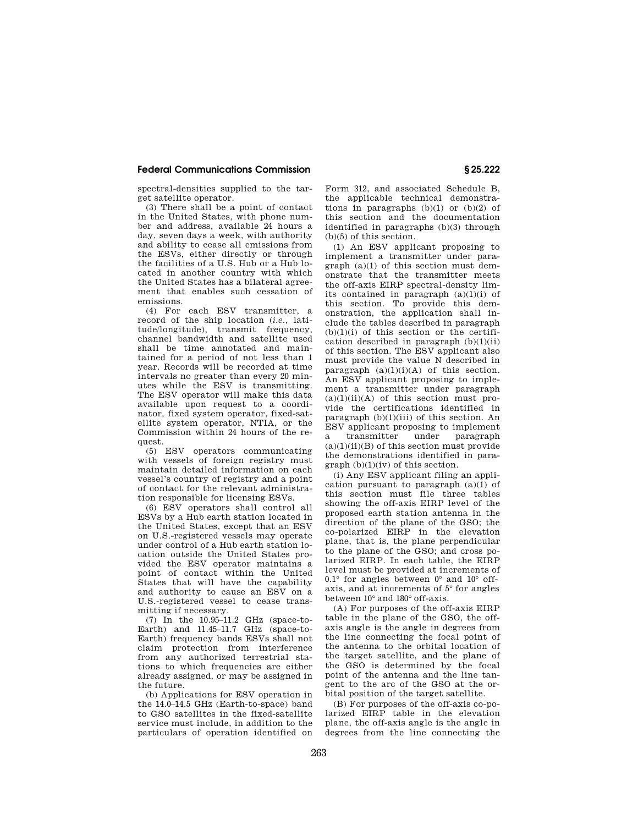## **Federal Communications Commission § 25.222**

spectral-densities supplied to the target satellite operator.

(3) There shall be a point of contact in the United States, with phone number and address, available 24 hours a day, seven days a week, with authority and ability to cease all emissions from the ESVs, either directly or through the facilities of a U.S. Hub or a Hub located in another country with which the United States has a bilateral agreement that enables such cessation of emissions.

(4) For each ESV transmitter, a record of the ship location (*i.e.,* latitude/longitude), transmit frequency, channel bandwidth and satellite used shall be time annotated and maintained for a period of not less than 1 year. Records will be recorded at time intervals no greater than every 20 minutes while the ESV is transmitting. The ESV operator will make this data available upon request to a coordinator, fixed system operator, fixed-satellite system operator, NTIA, or the Commission within 24 hours of the request.

(5) ESV operators communicating with vessels of foreign registry must maintain detailed information on each vessel's country of registry and a point of contact for the relevant administration responsible for licensing ESVs.

(6) ESV operators shall control all ESVs by a Hub earth station located in the United States, except that an ESV on U.S.-registered vessels may operate under control of a Hub earth station location outside the United States provided the ESV operator maintains a point of contact within the United States that will have the capability and authority to cause an ESV on a U.S.-registered vessel to cease transmitting if necessary.

(7) In the 10.95–11.2 GHz (space-to-Earth) and 11.45–11.7 GHz (space-to-Earth) frequency bands ESVs shall not claim protection from interference from any authorized terrestrial stations to which frequencies are either already assigned, or may be assigned in the future.

(b) Applications for ESV operation in the 14.0–14.5 GHz (Earth-to-space) band to GSO satellites in the fixed-satellite service must include, in addition to the particulars of operation identified on Form 312, and associated Schedule B, the applicable technical demonstrations in paragraphs  $(b)(1)$  or  $(b)(2)$  of this section and the documentation identified in paragraphs (b)(3) through (b)(5) of this section.

(1) An ESV applicant proposing to implement a transmitter under paragraph (a)(1) of this section must demonstrate that the transmitter meets the off-axis EIRP spectral-density limits contained in paragraph  $(a)(1)(i)$  of this section. To provide this demonstration, the application shall include the tables described in paragraph  $(b)(1)(i)$  of this section or the certification described in paragraph  $(b)(1)(ii)$ of this section. The ESV applicant also must provide the value N described in paragraph  $(a)(1)(i)(A)$  of this section. An ESV applicant proposing to implement a transmitter under paragraph  $(a)(1)(ii)(A)$  of this section must provide the certifications identified in paragraph  $(b)(1)(iii)$  of this section. An ESV applicant proposing to implement a transmitter under paragraph  $(a)(1)(ii)(B)$  of this section must provide the demonstrations identified in para $graph (b)(1)(iv)$  of this section.

(i) Any ESV applicant filing an application pursuant to paragraph (a)(1) of this section must file three tables showing the off-axis EIRP level of the proposed earth station antenna in the direction of the plane of the GSO; the co-polarized EIRP in the elevation plane, that is, the plane perpendicular to the plane of the GSO; and cross polarized EIRP. In each table, the EIRP level must be provided at increments of  $0.1^\circ$  for angles between  $0^\circ$  and  $10^\circ$  offaxis, and at increments of 5° for angles between 10° and 180° off-axis.

(A) For purposes of the off-axis EIRP table in the plane of the GSO, the offaxis angle is the angle in degrees from the line connecting the focal point of the antenna to the orbital location of the target satellite, and the plane of the GSO is determined by the focal point of the antenna and the line tangent to the arc of the GSO at the orbital position of the target satellite.

(B) For purposes of the off-axis co-polarized EIRP table in the elevation plane, the off-axis angle is the angle in degrees from the line connecting the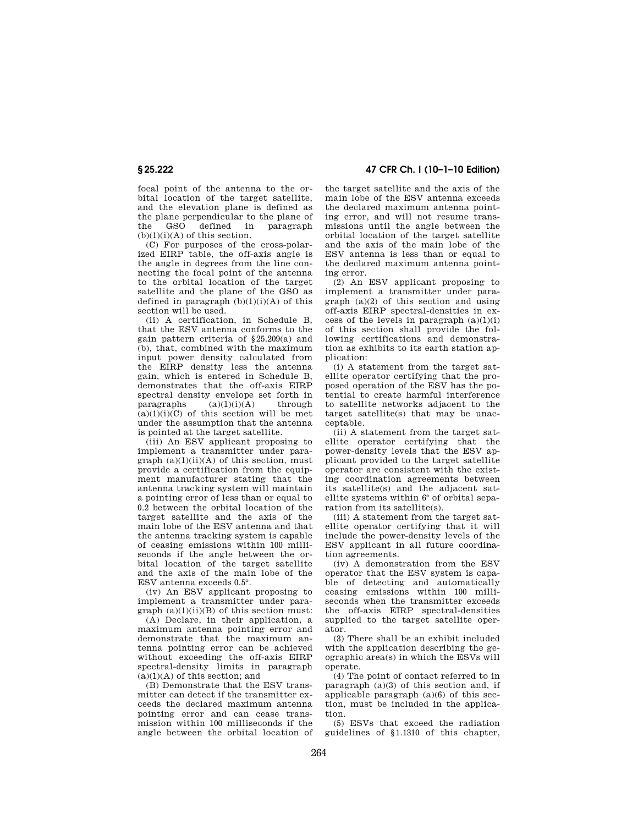focal point of the antenna to the orbital location of the target satellite, and the elevation plane is defined as the plane perpendicular to the plane of<br>the GSO defined in paragraph defined in  $(b)(1)(i)(A)$  of this section.

(C) For purposes of the cross-polarized EIRP table, the off-axis angle is the angle in degrees from the line connecting the focal point of the antenna to the orbital location of the target satellite and the plane of the GSO as defined in paragraph  $(b)(1)(i)(A)$  of this section will be used.

(ii) A certification, in Schedule B, that the ESV antenna conforms to the gain pattern criteria of §25.209(a) and (b), that, combined with the maximum input power density calculated from the EIRP density less the antenna gain, which is entered in Schedule B, demonstrates that the off-axis EIRP spectral density envelope set forth in paragraphs  $(a)(1)(i)(A)$  through  $(a)(1)(i)(C)$  of this section will be met under the assumption that the antenna is pointed at the target satellite.

(iii) An ESV applicant proposing to implement a transmitter under paragraph  $(a)(1)(ii)(A)$  of this section, must provide a certification from the equipment manufacturer stating that the antenna tracking system will maintain a pointing error of less than or equal to 0.2 between the orbital location of the target satellite and the axis of the main lobe of the ESV antenna and that the antenna tracking system is capable of ceasing emissions within 100 milliseconds if the angle between the orbital location of the target satellite and the axis of the main lobe of the ESV antenna exceeds 0.5°.

(iv) An ESV applicant proposing to implement a transmitter under paragraph  $(a)(1)(ii)(B)$  of this section must:

(A) Declare, in their application, a maximum antenna pointing error and demonstrate that the maximum antenna pointing error can be achieved without exceeding the off-axis EIRP spectral-density limits in paragraph  $(a)(1)(A)$  of this section; and

(B) Demonstrate that the ESV transmitter can detect if the transmitter exceeds the declared maximum antenna pointing error and can cease transmission within 100 milliseconds if the angle between the orbital location of

**§ 25.222 47 CFR Ch. I (10–1–10 Edition)** 

the target satellite and the axis of the main lobe of the ESV antenna exceeds the declared maximum antenna pointing error, and will not resume transmissions until the angle between the orbital location of the target satellite and the axis of the main lobe of the ESV antenna is less than or equal to the declared maximum antenna pointing error.

(2) An ESV applicant proposing to implement a transmitter under paragraph  $(a)(2)$  of this section and using off-axis EIRP spectral-densities in excess of the levels in paragraph  $(a)(1)(i)$ of this section shall provide the following certifications and demonstration as exhibits to its earth station application:

(i) A statement from the target satellite operator certifying that the proposed operation of the ESV has the potential to create harmful interference to satellite networks adjacent to the target satellite(s) that may be unacceptable.

(ii) A statement from the target satellite operator certifying that the power-density levels that the ESV applicant provided to the target satellite operator are consistent with the existing coordination agreements between its satellite(s) and the adjacent satellite systems within 6° of orbital separation from its satellite(s).

(iii) A statement from the target satellite operator certifying that it will include the power-density levels of the ESV applicant in all future coordination agreements.

(iv) A demonstration from the ESV operator that the ESV system is capable of detecting and automatically ceasing emissions within 100 milliseconds when the transmitter exceeds the off-axis EIRP spectral-densities supplied to the target satellite operator.

(3) There shall be an exhibit included with the application describing the geographic area(s) in which the ESVs will operate.

(4) The point of contact referred to in paragraph  $(a)(3)$  of this section and, if applicable paragraph  $(a)(6)$  of this section, must be included in the application.

(5) ESVs that exceed the radiation guidelines of §1.1310 of this chapter,